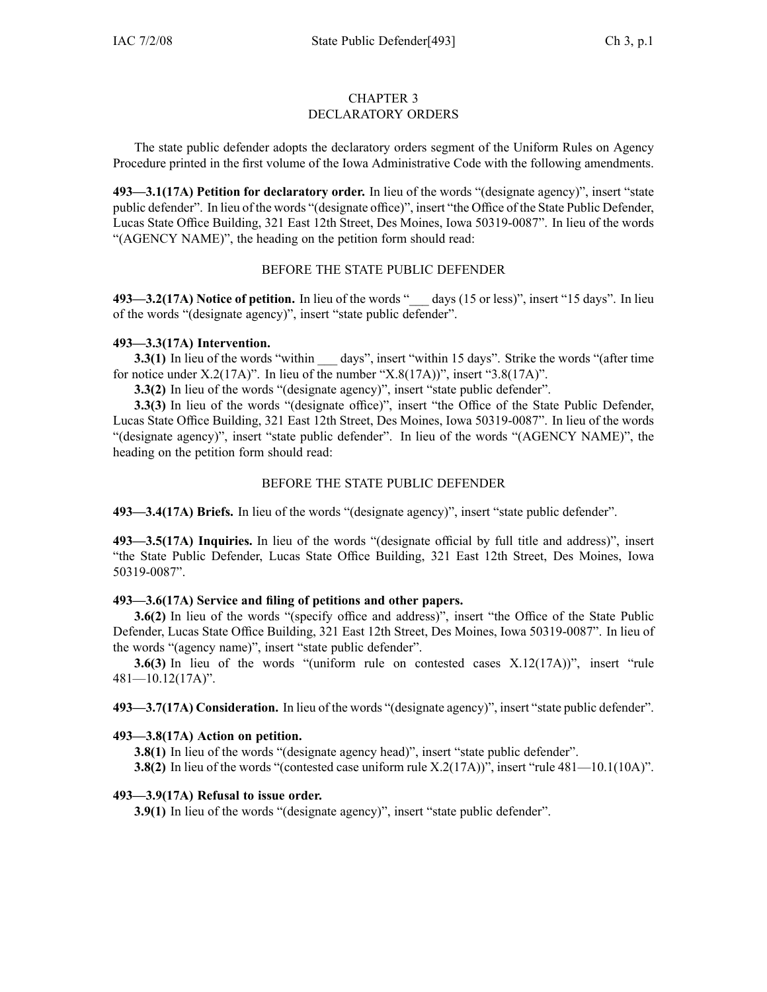### CHAPTER 3 DECLARATORY ORDERS

The state public defender adopts the declaratory orders segmen<sup>t</sup> of the Uniform Rules on Agency Procedure printed in the first volume of the Iowa Administrative Code with the following amendments.

**493—3.1(17A) Petition for declaratory order.** In lieu of the words "(designate agency)", insert "state public defender". In lieu of the words "(designate office)", insert "the Office of the State Public Defender, Lucas State Office Building, 321 East 12th Street, Des Moines, Iowa 50319-0087". In lieu of the words "(AGENCY NAME)", the heading on the petition form should read:

# BEFORE THE STATE PUBLIC DEFENDER

**493—3.2(17A) Notice of petition.** In lieu of the words "\_\_\_ days (15 or less)", insert "15 days". In lieu of the words "(designate agency)", insert "state public defender".

## **493—3.3(17A) Intervention.**

**3.3(1)** In lieu of the words "within \_\_\_ days", insert "within 15 days". Strike the words "(after time for notice under  $X.2(17A)$ ". In lieu of the number " $X.8(17A)$ ", insert "3.8(17A)".

**3.3(2)** In lieu of the words "(designate agency)", insert "state public defender".

**3.3(3)** In lieu of the words "(designate office)", insert "the Office of the State Public Defender, Lucas State Office Building, 321 East 12th Street, Des Moines, Iowa 50319-0087". In lieu of the words "(designate agency)", insert "state public defender". In lieu of the words "(AGENCY NAME)", the heading on the petition form should read:

## BEFORE THE STATE PUBLIC DEFENDER

**493—3.4(17A) Briefs.** In lieu of the words "(designate agency)", insert "state public defender".

**493—3.5(17A) Inquiries.** In lieu of the words "(designate official by full title and address)", insert "the State Public Defender, Lucas State Office Building, 321 East 12th Street, Des Moines, Iowa 50319-0087".

### **493—3.6(17A) Service and filing of petitions and other papers.**

**3.6(2)** In lieu of the words "(specify office and address)", insert "the Office of the State Public Defender, Lucas State Office Building, 321 East 12th Street, Des Moines, Iowa 50319-0087". In lieu of the words "(agency name)", insert "state public defender".

**3.6(3)** In lieu of the words "(uniform rule on contested cases X.12(17A))", insert "rule 481—10.12(17A)".

**493—3.7(17A) Consideration.** In lieu of the words "(designate agency)", insert "state public defender".

# **493—3.8(17A) Action on petition.**

**3.8(1)** In lieu of the words "(designate agency head)", insert "state public defender".

**3.8(2)** In lieu of the words "(contested case uniform rule X.2(17A))", insert "rule 481—10.1(10A)".

### **493—3.9(17A) Refusal to issue order.**

**3.9(1)** In lieu of the words "(designate agency)", insert "state public defender".